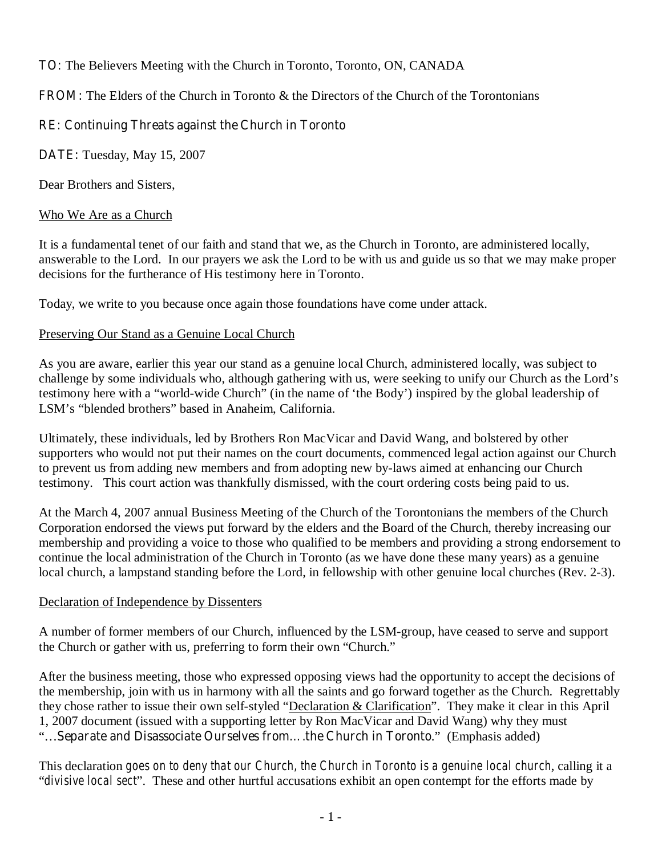# **TO:** The Believers Meeting with the Church in Toronto, Toronto, ON, CANADA

**FROM:** The Elders of the Church in Toronto & the Directors of the Church of the Torontonians

## **RE: Continuing Threats against the Church in Toronto**

**DATE:** Tuesday, May 15, 2007

Dear Brothers and Sisters,

#### Who We Are as a Church

It is a fundamental tenet of our faith and stand that we, as the Church in Toronto, are administered locally, answerable to the Lord. In our prayers we ask the Lord to be with us and guide us so that we may make proper decisions for the furtherance of His testimony here in Toronto.

Today, we write to you because once again those foundations have come under attack.

#### Preserving Our Stand as a Genuine Local Church

As you are aware, earlier this year our stand as a genuine local Church, administered locally, was subject to challenge by some individuals who, although gathering with us, were seeking to unify our Church as the Lord's testimony here with a "world-wide Church" (in the name of 'the Body') inspired by the global leadership of LSM's "blended brothers" based in Anaheim, California.

Ultimately, these individuals, led by Brothers Ron MacVicar and David Wang, and bolstered by other supporters who would not put their names on the court documents, commenced legal action against our Church to prevent us from adding new members and from adopting new by-laws aimed at enhancing our Church testimony. This court action was thankfully dismissed, with the court ordering costs being paid to us.

At the March 4, 2007 annual Business Meeting of the Church of the Torontonians the members of the Church Corporation endorsed the views put forward by the elders and the Board of the Church, thereby increasing our membership and providing a voice to those who qualified to be members and providing a strong endorsement to continue the local administration of the Church in Toronto (as we have done these many years) as a genuine local church, a lampstand standing before the Lord, in fellowship with other genuine local churches (Rev. 2-3).

### Declaration of Independence by Dissenters

A number of former members of our Church, influenced by the LSM-group, have ceased to serve and support the Church or gather with us, preferring to form their own "Church."

After the business meeting, those who expressed opposing views had the opportunity to accept the decisions of the membership, join with us in harmony with all the saints and go forward together as the Church. Regrettably they chose rather to issue their own self-styled "Declaration & Clarification". They make it clear in this April 1, 2007 document (issued with a supporting letter by Ron MacVicar and David Wang) why they must "…**Separate and Disassociate Ourselves from….the Church in Toronto**." (Emphasis added)

This declaration *goes on to deny that our Church, the Church in Toronto is a genuine local church*, calling it a "*divisive local sect*". These and other hurtful accusations exhibit an open contempt for the efforts made by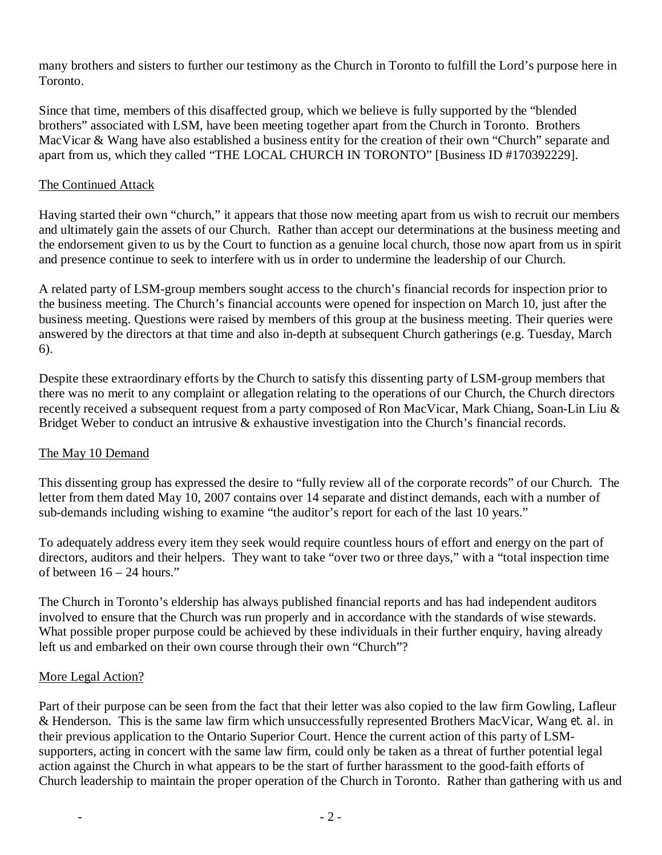many brothers and sisters to further our testimony as the Church in Toronto to fulfill the Lord's purpose here in Toronto.

Since that time, members of this disaffected group, which we believe is fully supported by the "blended brothers" associated with LSM, have been meeting together apart from the Church in Toronto. Brothers MacVicar & Wang have also established a business entity for the creation of their own "Church" separate and apart from us, which they called "THE LOCAL CHURCH IN TORONTO" [Business ID #170392229].

### The Continued Attack

Having started their own "church," it appears that those now meeting apart from us wish to recruit our members and ultimately gain the assets of our Church. Rather than accept our determinations at the business meeting and the endorsement given to us by the Court to function as a genuine local church, those now apart from us in spirit and presence continue to seek to interfere with us in order to undermine the leadership of our Church.

A related party of LSM-group members sought access to the church's financial records for inspection prior to the business meeting. The Church's financial accounts were opened for inspection on March 10, just after the business meeting. Questions were raised by members of this group at the business meeting. Their queries were answered by the directors at that time and also in-depth at subsequent Church gatherings (e.g. Tuesday, March 6).

Despite these extraordinary efforts by the Church to satisfy this dissenting party of LSM-group members that there was no merit to any complaint or allegation relating to the operations of our Church, the Church directors recently received a subsequent request from a party composed of Ron MacVicar, Mark Chiang, Soan-Lin Liu & Bridget Weber to conduct an intrusive & exhaustive investigation into the Church's financial records.

### The May 10 Demand

This dissenting group has expressed the desire to "fully review all of the corporate records" of our Church. The letter from them dated May 10, 2007 contains over 14 separate and distinct demands, each with a number of sub-demands including wishing to examine "the auditor's report for each of the last 10 years."

To adequately address every item they seek would require countless hours of effort and energy on the part of directors, auditors and their helpers. They want to take "over two or three days," with a "total inspection time of between 16 – 24 hours."

The Church in Toronto's eldership has always published financial reports and has had independent auditors involved to ensure that the Church was run properly and in accordance with the standards of wise stewards. What possible proper purpose could be achieved by these individuals in their further enquiry, having already left us and embarked on their own course through their own "Church"?

### More Legal Action?

Part of their purpose can be seen from the fact that their letter was also copied to the law firm Gowling, Lafleur & Henderson. This is the same law firm which unsuccessfully represented Brothers MacVicar, Wang *et. al*. in their previous application to the Ontario Superior Court. Hence the current action of this party of LSMsupporters, acting in concert with the same law firm, could only be taken as a threat of further potential legal action against the Church in what appears to be the start of further harassment to the good-faith efforts of Church leadership to maintain the proper operation of the Church in Toronto. Rather than gathering with us and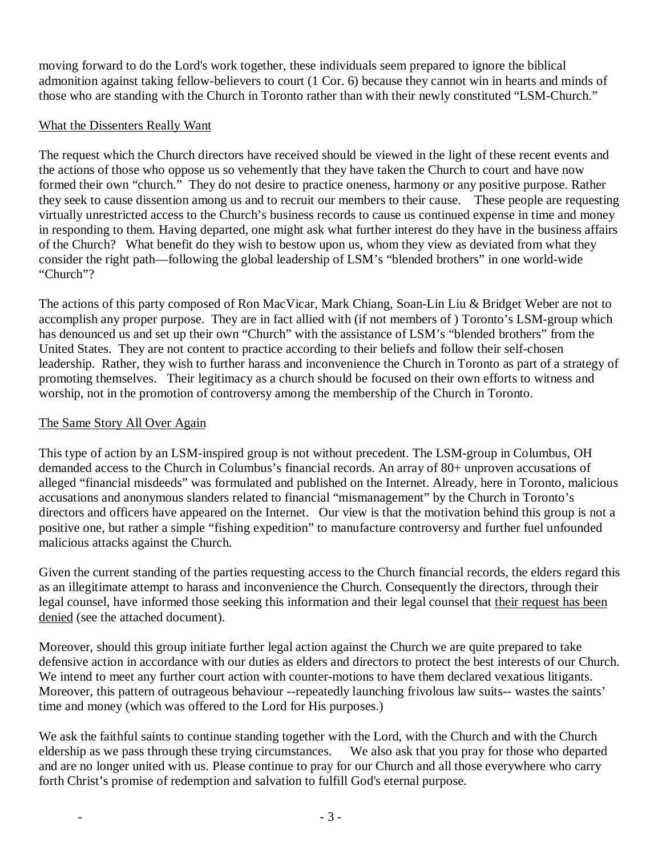moving forward to do the Lord's work together, these individuals seem prepared to ignore the biblical admonition against taking fellow-believers to court (1 Cor. 6) because they cannot win in hearts and minds of those who are standing with the Church in Toronto rather than with their newly constituted "LSM-Church."

## What the Dissenters Really Want

The request which the Church directors have received should be viewed in the light of these recent events and the actions of those who oppose us so vehemently that they have taken the Church to court and have now formed their own "church." They do not desire to practice oneness, harmony or any positive purpose. Rather they seek to cause dissention among us and to recruit our members to their cause. These people are requesting virtually unrestricted access to the Church's business records to cause us continued expense in time and money in responding to them. Having departed, one might ask what further interest do they have in the business affairs of the Church? What benefit do they wish to bestow upon us, whom they view as deviated from what they consider the right path—following the global leadership of LSM's "blended brothers" in one world-wide "Church"?

The actions of this party composed of Ron MacVicar, Mark Chiang, Soan-Lin Liu & Bridget Weber are not to accomplish any proper purpose. They are in fact allied with (if not members of ) Toronto's LSM-group which has denounced us and set up their own "Church" with the assistance of LSM's "blended brothers" from the United States. They are not content to practice according to their beliefs and follow their self-chosen leadership. Rather, they wish to further harass and inconvenience the Church in Toronto as part of a strategy of promoting themselves. Their legitimacy as a church should be focused on their own efforts to witness and worship, not in the promotion of controversy among the membership of the Church in Toronto.

## The Same Story All Over Again

This type of action by an LSM-inspired group is not without precedent. The LSM-group in Columbus, OH demanded access to the Church in Columbus's financial records. An array of 80+ unproven accusations of alleged "financial misdeeds" was formulated and published on the Internet. Already, here in Toronto, malicious accusations and anonymous slanders related to financial "mismanagement" by the Church in Toronto's directors and officers have appeared on the Internet. Our view is that the motivation behind this group is not a positive one, but rather a simple "fishing expedition" to manufacture controversy and further fuel unfounded malicious attacks against the Church.

Given the current standing of the parties requesting access to the Church financial records, the elders regard this as an illegitimate attempt to harass and inconvenience the Church. Consequently the directors, through their legal counsel, have informed those seeking this information and their legal counsel that their request has been denied (see the attached document).

Moreover, should this group initiate further legal action against the Church we are quite prepared to take defensive action in accordance with our duties as elders and directors to protect the best interests of our Church. We intend to meet any further court action with counter-motions to have them declared vexatious litigants. Moreover, this pattern of outrageous behaviour --repeatedly launching frivolous law suits-- wastes the saints' time and money (which was offered to the Lord for His purposes.)

We ask the faithful saints to continue standing together with the Lord, with the Church and with the Church eldership as we pass through these trying circumstances. We also ask that you pray for those who departed and are no longer united with us. Please continue to pray for our Church and all those everywhere who carry forth Christ's promise of redemption and salvation to fulfill God's eternal purpose.